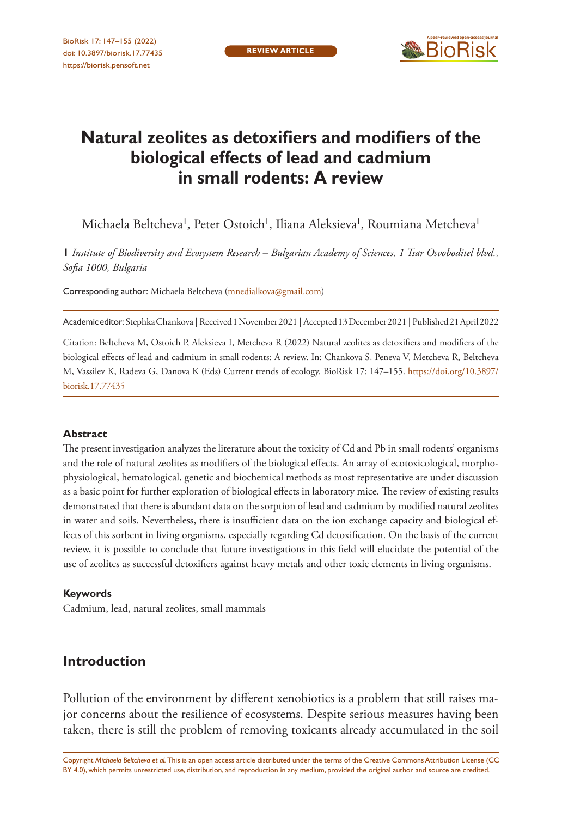

# **Natural zeolites as detoxifiers and modifiers of the biological effects of lead and cadmium in small rodents: A review**

Michaela Beltcheva', Peter Ostoich', Iliana Aleksieva', Roumiana Metcheva'

**1** *Institute of Biodiversity and Ecosystem Research – Bulgarian Academy of Sciences, 1 Tsar Osvoboditel blvd., Sofia 1000, Bulgaria*

Corresponding author: Michaela Beltcheva ([mnedialkova@gmail.com\)](mailto:mnedialkova@gmail.com)

Academic editor: Stephka Chankova | Received 1 November 2021 | Accepted 13 December 2021 | Published 21 April 2022

Citation: Beltcheva M, Ostoich P, Aleksieva I, Metcheva R (2022) Natural zeolites as detoxifiers and modifiers of the biological effects of lead and cadmium in small rodents: A review. In: Chankova S, Peneva V, Metcheva R, Beltcheva M, Vassilev K, Radeva G, Danova K (Eds) Current trends of ecology. BioRisk 17: 147–155. [https://doi.org/10.3897/](https://doi.org/10.3897/biorisk.17.77435) [biorisk.17.77435](https://doi.org/10.3897/biorisk.17.77435)

#### **Abstract**

The present investigation analyzes the literature about the toxicity of Cd and Pb in small rodents' organisms and the role of natural zeolites as modifiers of the biological effects. An array of ecotoxicological, morphophysiological, hematological, genetic and biochemical methods as most representative are under discussion as a basic point for further exploration of biological effects in laboratory mice. The review of existing results demonstrated that there is abundant data on the sorption of lead and cadmium by modified natural zeolites in water and soils. Nevertheless, there is insufficient data on the ion exchange capacity and biological effects of this sorbent in living organisms, especially regarding Cd detoxification. On the basis of the current review, it is possible to conclude that future investigations in this field will elucidate the potential of the use of zeolites as successful detoxifiers against heavy metals and other toxic elements in living organisms.

#### **Keywords**

Cadmium, lead, natural zeolites, small mammals

# **Introduction**

Pollution of the environment by different xenobiotics is a problem that still raises major concerns about the resilience of ecosystems. Despite serious measures having been taken, there is still the problem of removing toxicants already accumulated in the soil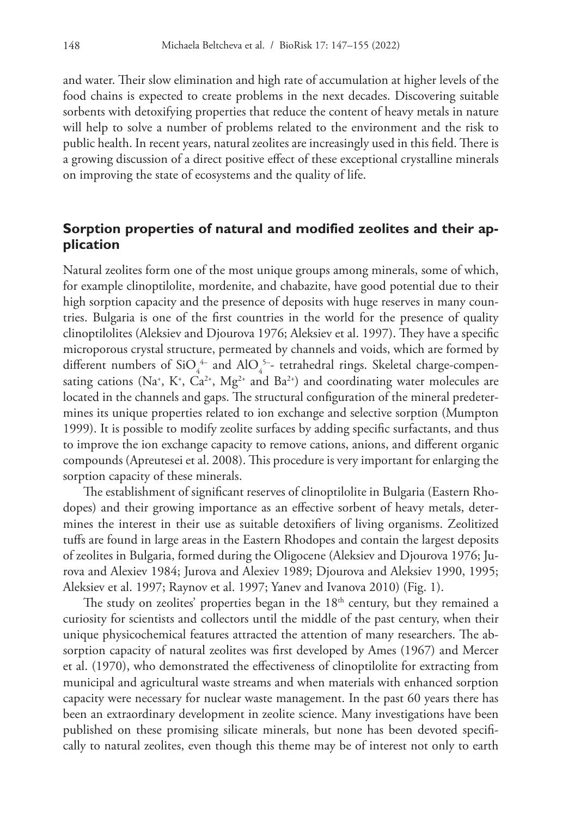and water. Their slow elimination and high rate of accumulation at higher levels of the food chains is expected to create problems in the next decades. Discovering suitable sorbents with detoxifying properties that reduce the content of heavy metals in nature will help to solve a number of problems related to the environment and the risk to public health. In recent years, natural zeolites are increasingly used in this field. There is a growing discussion of a direct positive effect of these exceptional crystalline minerals on improving the state of ecosystems and the quality of life.

## **Sorption properties of natural and modified zeolites and their application**

Natural zeolites form one of the most unique groups among minerals, some of which, for example clinoptilolite, mordenite, and chabazite, have good potential due to their high sorption capacity and the presence of deposits with huge reserves in many countries. Bulgaria is one of the first countries in the world for the presence of quality clinoptilolites (Aleksiev and Djourova 1976; Aleksiev et al. 1997). They have a specific microporous crystal structure, permeated by channels and voids, which are formed by different numbers of SiO<sub>4</sub><sup>4-</sup> and AlO<sub>4</sub><sup>5-</sup>- tetrahedral rings. Skeletal charge-compensating cations (Na<sup>+</sup>, K<sup>+</sup>, Ca<sup>2+</sup>, Mg<sup>2+</sup> and Ba<sup>2+</sup>) and coordinating water molecules are located in the channels and gaps. The structural configuration of the mineral predetermines its unique properties related to ion exchange and selective sorption (Mumpton 1999). It is possible to modify zeolite surfaces by adding specific surfactants, and thus to improve the ion exchange capacity to remove cations, anions, and different organic compounds (Apreutesei et al. 2008). This procedure is very important for enlarging the sorption capacity of these minerals.

The establishment of significant reserves of clinoptilolite in Bulgaria (Eastern Rhodopes) and their growing importance as an effective sorbent of heavy metals, determines the interest in their use as suitable detoxifiers of living organisms. Zeolitized tuffs are found in large areas in the Eastern Rhodopes and contain the largest deposits of zeolites in Bulgaria, formed during the Oligocene (Aleksiev and Djourova 1976; Jurova and Alexiev 1984; Jurova and Alexiev 1989; Djourova and Aleksiev 1990, 1995; Aleksiev et al. 1997; Raynov et al. 1997; Yanev and Ivanova 2010) (Fig. 1).

The study on zeolites' properties began in the  $18<sup>th</sup>$  century, but they remained a curiosity for scientists and collectors until the middle of the past century, when their unique physicochemical features attracted the attention of many researchers. The absorption capacity of natural zeolites was first developed by Ames (1967) and Mercer et al. (1970), who demonstrated the effectiveness of clinoptilolite for extracting from municipal and agricultural waste streams and when materials with enhanced sorption capacity were necessary for nuclear waste management. In the past 60 years there has been an extraordinary development in zeolite science. Many investigations have been published on these promising silicate minerals, but none has been devoted specifically to natural zeolites, even though this theme may be of interest not only to earth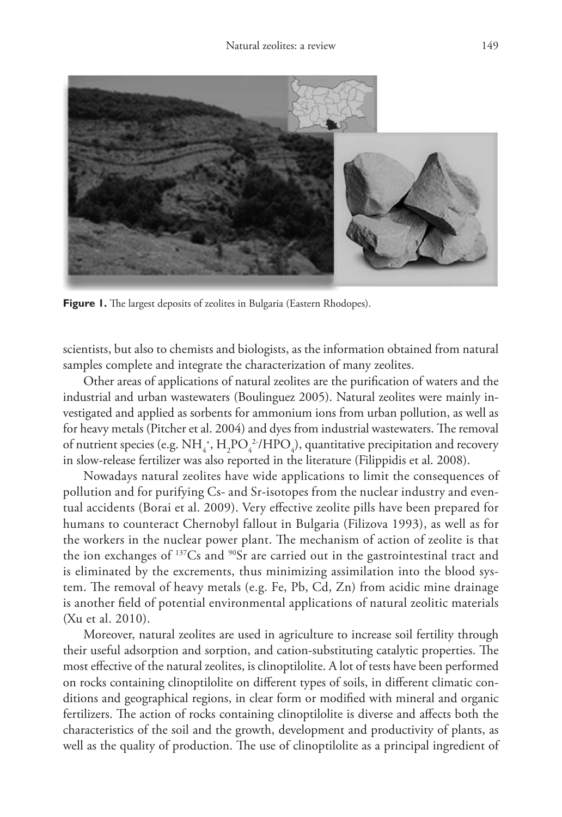

**Figure 1.** The largest deposits of zeolites in Bulgaria (Eastern Rhodopes).

scientists, but also to chemists and biologists, as the information obtained from natural samples complete and integrate the characterization of many zeolites.

Other areas of applications of natural zeolites are the purification of waters and the industrial and urban wastewaters (Boulinguez 2005). Natural zeolites were mainly investigated and applied as sorbents for ammonium ions from urban pollution, as well as for heavy metals (Pitcher et al. 2004) and dyes from industrial wastewaters. The removal of nutrient species (e.g.  $NH_4^*$ ,  $H_2PO_4^2/HPO_4$ ), quantitative precipitation and recovery in slow-release fertilizer was also reported in the literature (Filippidis et al. 2008).

Nowadays natural zeolites have wide applications to limit the consequences of pollution and for purifying Cs- and Sr-isotopes from the nuclear industry and eventual accidents (Borai et al. 2009). Very effective zeolite pills have been prepared for humans to counteract Chernobyl fallout in Bulgaria (Filizova 1993), as well as for the workers in the nuclear power plant. The mechanism of action of zeolite is that the ion exchanges of <sup>137</sup>Cs and <sup>90</sup>Sr are carried out in the gastrointestinal tract and is eliminated by the excrements, thus minimizing assimilation into the blood system. The removal of heavy metals (e.g. Fe, Pb, Cd, Zn) from acidic mine drainage is another field of potential environmental applications of natural zeolitic materials (Xu et al. 2010).

Moreover, natural zeolites are used in agriculture to increase soil fertility through their useful adsorption and sorption, and cation-substituting catalytic properties. The most effective of the natural zeolites, is clinoptilolite. A lot of tests have been performed on rocks containing clinoptilolite on different types of soils, in different climatic conditions and geographical regions, in clear form or modified with mineral and organic fertilizers. The action of rocks containing clinoptilolite is diverse and affects both the characteristics of the soil and the growth, development and productivity of plants, as well as the quality of production. The use of clinoptilolite as a principal ingredient of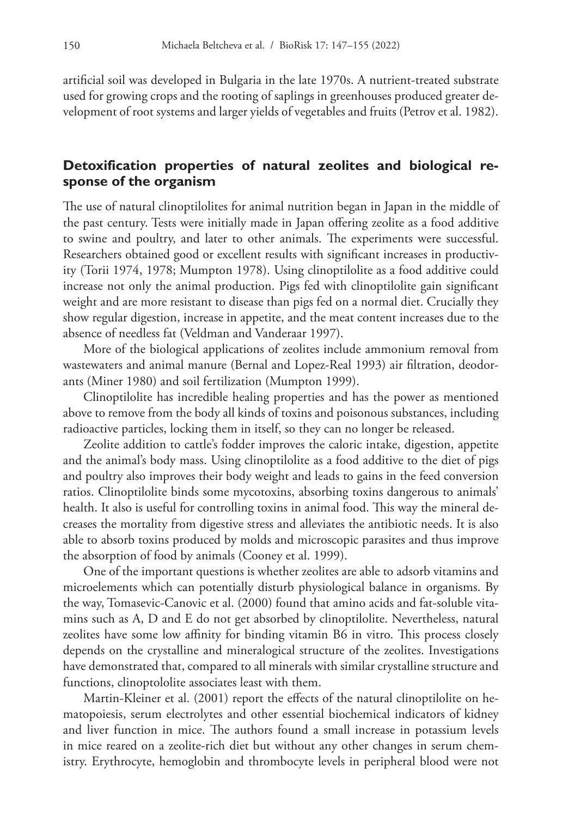artificial soil was developed in Bulgaria in the late 1970s. A nutrient-treated substrate used for growing crops and the rooting of saplings in greenhouses produced greater development of root systems and larger yields of vegetables and fruits (Petrov et al. 1982).

## **Detoxification properties of natural zeolites and biological response of the organism**

The use of natural clinoptilolites for animal nutrition began in Japan in the middle of the past century. Tests were initially made in Japan offering zeolite as a food additive to swine and poultry, and later to other animals. The experiments were successful. Researchers obtained good or excellent results with significant increases in productivity (Torii 1974, 1978; Mumpton 1978). Using clinoptilolite as a food additive could increase not only the animal production. Pigs fed with clinoptilolite gain significant weight and are more resistant to disease than pigs fed on a normal diet. Crucially they show regular digestion, increase in appetite, and the meat content increases due to the absence of needless fat (Veldman and Vanderaar 1997).

More of the biological applications of zeolites include ammonium removal from wastewaters and animal manure (Bernal and Lopez-Real 1993) air filtration, deodorants (Miner 1980) and soil fertilization (Mumpton 1999).

Clinoptilolite has incredible healing properties and has the power as mentioned above to remove from the body all kinds of toxins and poisonous substances, including radioactive particles, locking them in itself, so they can no longer be released.

Zeolite addition to cattle's fodder improves the caloric intake, digestion, appetite and the animal's body mass. Using clinoptilolite as a food additive to the diet of pigs and poultry also improves their body weight and leads to gains in the feed conversion ratios. Clinoptilolite binds some mycotoxins, absorbing toxins dangerous to animals' health. It also is useful for controlling toxins in animal food. This way the mineral decreases the mortality from digestive stress and alleviates the antibiotic needs. It is also able to absorb toxins produced by molds and microscopic parasites and thus improve the absorption of food by animals (Cooney et al. 1999).

One of the important questions is whether zeolites are able to adsorb vitamins and microelements which can potentially disturb physiological balance in organisms. By the way, Tomasevic-Canovic et al. (2000) found that amino acids and fat-soluble vitamins such as A, D and E do not get absorbed by clinoptilolite. Nevertheless, natural zeolites have some low affinity for binding vitamin B6 in vitro. This process closely depends on the crystalline and mineralogical structure of the zeolites. Investigations have demonstrated that, compared to all minerals with similar crystalline structure and functions, clinoptololite associates least with them.

Martin-Kleiner et al. (2001) report the effects of the natural clinoptilolite on hematopoiesis, serum electrolytes and other essential biochemical indicators of kidney and liver function in mice. The authors found a small increase in potassium levels in mice reared on a zeolite-rich diet but without any other changes in serum chemistry. Erythrocyte, hemoglobin and thrombocyte levels in peripheral blood were not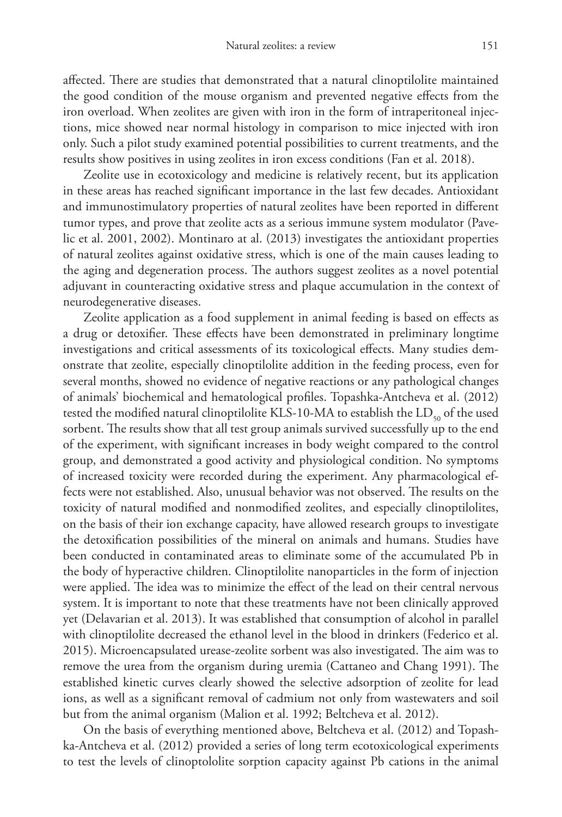affected. There are studies that demonstrated that a natural clinoptilolite maintained the good condition of the mouse organism and prevented negative effects from the iron overload. When zeolites are given with iron in the form of intraperitoneal injections, mice showed near normal histology in comparison to mice injected with iron only. Such a pilot study examined potential possibilities to current treatments, and the results show positives in using zeolites in iron excess conditions (Fan et al. 2018).

Zeolite use in ecotoxicology and medicine is relatively recent, but its application in these areas has reached significant importance in the last few decades. Antioxidant and immunostimulatory properties of natural zeolites have been reported in different tumor types, and prove that zeolite acts as a serious immune system modulator (Pavelic et al. 2001, 2002). Montinaro at al. (2013) investigates the antioxidant properties of natural zeolites against oxidative stress, which is one of the main causes leading to the aging and degeneration process. The authors suggest zeolites as a novel potential adjuvant in counteracting oxidative stress and plaque accumulation in the context of neurodegenerative diseases.

Zeolite application as a food supplement in animal feeding is based on effects as a drug or detoxifier. These effects have been demonstrated in preliminary longtime investigations and critical assessments of its toxicological effects. Many studies demonstrate that zeolite, especially clinoptilolite addition in the feeding process, even for several months, showed no evidence of negative reactions or any pathological changes of animals' biochemical and hematological profiles. Topashka-Antcheva et al. (2012) tested the modified natural clinoptilolite KLS-10-MA to establish the  $LD_{so}$  of the used sorbent. The results show that all test group animals survived successfully up to the end of the experiment, with significant increases in body weight compared to the control group, and demonstrated a good activity and physiological condition. No symptoms of increased toxicity were recorded during the experiment. Any pharmacological effects were not established. Also, unusual behavior was not observed. The results on the toxicity of natural modified and nonmodified zeolites, and especially clinoptilolites, on the basis of their ion exchange capacity, have allowed research groups to investigate the detoxification possibilities of the mineral on animals and humans. Studies have been conducted in contaminated areas to eliminate some of the accumulated Pb in the body of hyperactive children. Clinoptilolite nanoparticles in the form of injection were applied. The idea was to minimize the effect of the lead on their central nervous system. It is important to note that these treatments have not been clinically approved yet (Delavarian et al. 2013). It was established that consumption of alcohol in parallel with clinoptilolite decreased the ethanol level in the blood in drinkers (Federico et al. 2015). Microencapsulated urease-zeolite sorbent was also investigated. The aim was to remove the urea from the organism during uremia (Cattaneo and Chang 1991). The established kinetic curves clearly showed the selective adsorption of zeolite for lead ions, as well as a significant removal of cadmium not only from wastewaters and soil but from the animal organism (Malion et al. 1992; Beltcheva et al. 2012).

On the basis of everything mentioned above, Beltcheva et al. (2012) and Topashka-Antcheva et al. (2012) provided a series of long term ecotoxicological experiments to test the levels of clinoptololite sorption capacity against Pb cations in the animal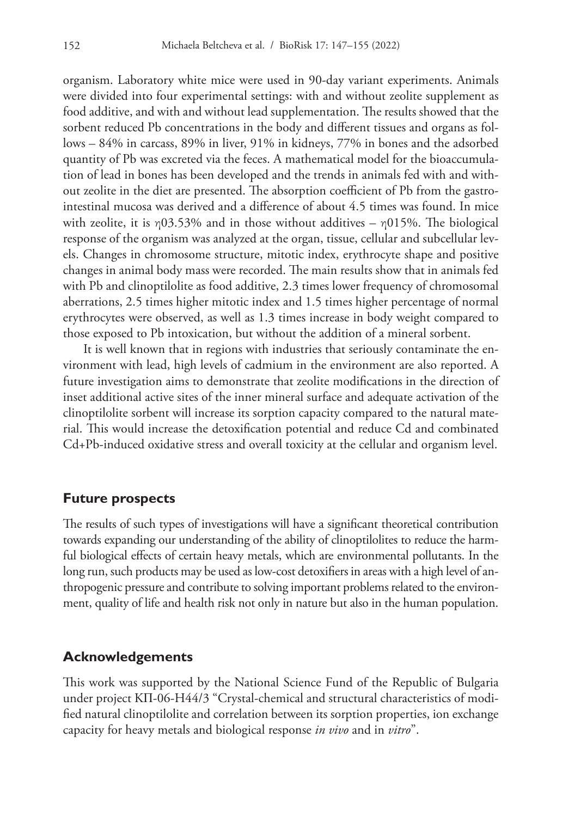organism. Laboratory white mice were used in 90-day variant experiments. Animals were divided into four experimental settings: with and without zeolite supplement as food additive, and with and without lead supplementation. The results showed that the sorbent reduced Pb concentrations in the body and different tissues and organs as follows – 84% in carcass, 89% in liver, 91% in kidneys, 77% in bones and the adsorbed quantity of Pb was excreted via the feces. A mathematical model for the bioaccumulation of lead in bones has been developed and the trends in animals fed with and without zeolite in the diet are presented. The absorption coefficient of Pb from the gastrointestinal mucosa was derived and a difference of about 4.5 times was found. In mice with zeolite, it is  $\eta$ 03.53% and in those without additives –  $\eta$ 015%. The biological response of the organism was analyzed at the organ, tissue, cellular and subcellular levels. Changes in chromosome structure, mitotic index, erythrocyte shape and positive changes in animal body mass were recorded. The main results show that in animals fed with Pb and clinoptilolite as food additive, 2.3 times lower frequency of chromosomal aberrations, 2.5 times higher mitotic index and 1.5 times higher percentage of normal erythrocytes were observed, as well as 1.3 times increase in body weight compared to those exposed to Pb intoxication, but without the addition of a mineral sorbent.

It is well known that in regions with industries that seriously contaminate the environment with lead, high levels of cadmium in the environment are also reported. A future investigation aims to demonstrate that zeolite modifications in the direction of inset additional active sites of the inner mineral surface and adequate activation of the clinoptilolite sorbent will increase its sorption capacity compared to the natural material. This would increase the detoxification potential and reduce Cd and combinated Cd+Pb-induced oxidative stress and overall toxicity at the cellular and organism level.

#### **Future prospects**

The results of such types of investigations will have a significant theoretical contribution towards expanding our understanding of the ability of clinoptilolites to reduce the harmful biological effects of certain heavy metals, which are environmental pollutants. In the long run, such products may be used as low-cost detoxifiers in areas with a high level of anthropogenic pressure and contribute to solving important problems related to the environment, quality of life and health risk not only in nature but also in the human population.

#### **Acknowledgements**

This work was supported by the National Science Fund of the Republic of Bulgaria under project KII-06-H44/3 "Crystal-chemical and structural characteristics of modified natural clinoptilolite and correlation between its sorption properties, ion exchange capacity for heavy metals and biological response *in vivo* and in *vitro*".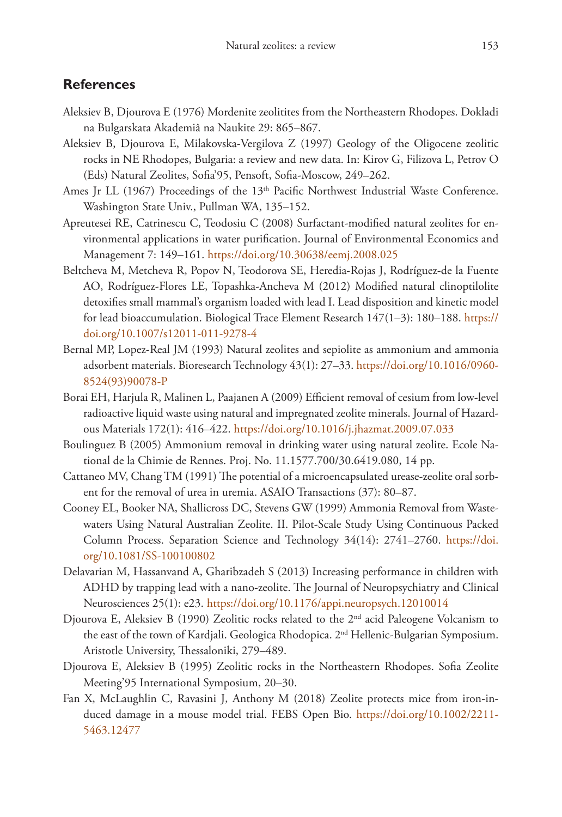### **References**

- Aleksiev B, Djourova E (1976) Mordenite zeolitites from the Northeastern Rhodopes. Dokladi na Bulgarskata Akademiâ na Naukite 29: 865–867.
- Aleksiev B, Djourova E, Milakovska-Vergilova Z (1997) Geology of the Oligocene zeolitic rocks in NE Rhodopes, Bulgaria: a review and new data. In: Kirov G, Filizova L, Petrov O (Eds) Natural Zeolites, Sofia'95, Pensoft, Sofia-Moscow, 249–262.
- Ames Jr LL (1967) Proceedings of the 13<sup>th</sup> Pacific Northwest Industrial Waste Conference. Washington State Univ., Pullman WA, 135–152.
- Apreutesei RE, Catrinescu C, Teodosiu C (2008) Surfactant-modified natural zeolites for environmental applications in water purification. Journal of Environmental Economics and Management 7: 149–161. <https://doi.org/10.30638/eemj.2008.025>
- Beltcheva M, Metcheva R, Popov N, Teodorova SE, Heredia-Rojas J, Rodríguez-de la Fuente AO, Rodríguez-Flores LE, Topashka-Ancheva M (2012) Modified natural clinoptilolite detoxifies small mammal's organism loaded with lead I. Lead disposition and kinetic model for lead bioaccumulation. Biological Trace Element Research 147(1–3): 180–188. [https://](https://doi.org/10.1007/s12011-011-9278-4) [doi.org/10.1007/s12011-011-9278-4](https://doi.org/10.1007/s12011-011-9278-4)
- Bernal MP, Lopez-Real JM (1993) Natural zeolites and sepiolite as ammonium and ammonia adsorbent materials. Bioresearch Technology 43(1): 27–33. [https://doi.org/10.1016/0960-](https://doi.org/10.1016/0960-8524(93)90078-P) [8524\(93\)90078-P](https://doi.org/10.1016/0960-8524(93)90078-P)
- Borai EH, Harjula R, Malinen L, Paajanen A (2009) Efficient removal of cesium from low-level radioactive liquid waste using natural and impregnated zeolite minerals. Journal of Hazardous Materials 172(1): 416–422. <https://doi.org/10.1016/j.jhazmat.2009.07.033>
- Boulinguez B (2005) Ammonium removal in drinking water using natural zeolite. Ecole National de la Chimie de Rennes. Proj. No. 11.1577.700/30.6419.080, 14 pp.
- Cattaneo MV, Chang TM (1991) The potential of a microencapsulated urease-zeolite oral sorbent for the removal of urea in uremia. ASAIO Transactions (37): 80–87.
- Cooney EL, Booker NA, Shallicross DC, Stevens GW (1999) Ammonia Removal from Wastewaters Using Natural Australian Zeolite. II. Pilot-Scale Study Using Continuous Packed Column Process. Separation Science and Technology 34(14): 2741–2760. [https://doi.](https://doi.org/10.1081/SS-100100802) [org/10.1081/SS-100100802](https://doi.org/10.1081/SS-100100802)
- Delavarian M, Hassanvand A, Gharibzadeh S (2013) Increasing performance in children with ADHD by trapping lead with a nano-zeolite. The Journal of Neuropsychiatry and Clinical Neurosciences 25(1): e23.<https://doi.org/10.1176/appi.neuropsych.12010014>
- Djourova E, Aleksiev B (1990) Zeolitic rocks related to the  $2<sup>nd</sup>$  acid Paleogene Volcanism to the east of the town of Kardjali. Geologica Rhodopica. 2nd Hellenic-Bulgarian Symposium. Aristotle University, Thessaloniki, 279–489.
- Djourova E, Aleksiev B (1995) Zeolitic rocks in the Northeastern Rhodopes. Sofia Zeolite Meeting'95 International Symposium, 20–30.
- Fan X, McLaughlin C, Ravasini J, Anthony M (2018) Zeolite protects mice from iron-induced damage in a mouse model trial. FEBS Open Bio. [https://doi.org/10.1002/2211-](https://doi.org/10.1002/2211-5463.12477) [5463.12477](https://doi.org/10.1002/2211-5463.12477)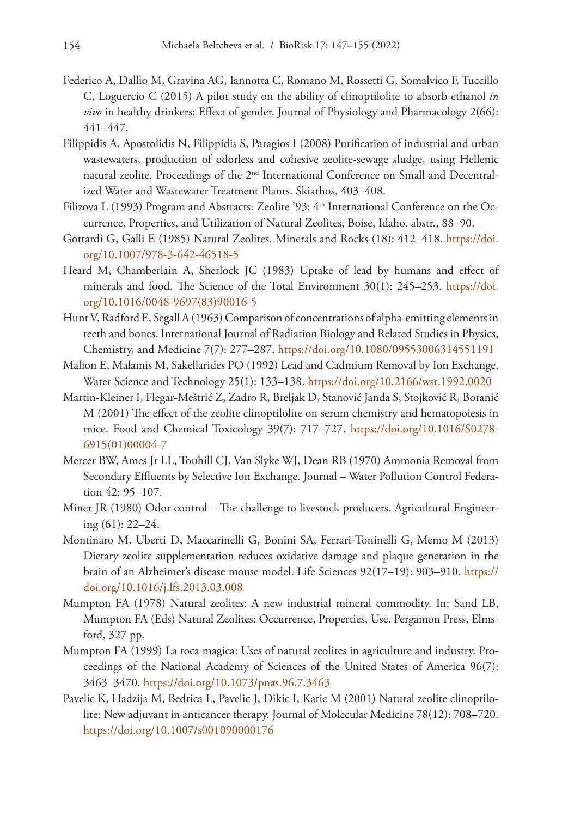- Federico A, Dallio M, Gravina AG, Iannotta C, Romano M, Rossetti G, Somalvico F, Tuccillo C, Loguercio C (2015) A pilot study on the ability of clinoptilolite to absorb ethanol *in vivo* in healthy drinkers: Effect of gender. Journal of Physiology and Pharmacology 2(66): 441–447.
- Filippidis A, Apostolidis N, Filippidis S, Paragios I (2008) Purification of industrial and urban wastewaters, production of odorless and cohesive zeolite-sewage sludge, using Hellenic natural zeolite. Proceedings of the 2nd International Conference on Small and Decentralized Water and Wastewater Treatment Plants. Skiathos, 403–408.
- Filizova L (1993) Program and Abstracts: Zeolite '93: 4<sup>th</sup> International Conference on the Occurrence, Properties, and Utilization of Natural Zeolites, Boise, Idaho. abstr., 88–90.
- Gottardi G, Galli E (1985) Natural Zeolites. Minerals and Rocks (18): 412–418. [https://doi.](https://doi.org/10.1007/978-3-642-46518-5) [org/10.1007/978-3-642-46518-5](https://doi.org/10.1007/978-3-642-46518-5)
- Heard M, Chamberlain A, Sherlock JC (1983) Uptake of lead by humans and effect of minerals and food. The Science of the Total Environment 30(1): 245–253. [https://doi.](https://doi.org/10.1016/0048-9697(83)90016-5) [org/10.1016/0048-9697\(83\)90016-5](https://doi.org/10.1016/0048-9697(83)90016-5)
- Hunt V, Radford E, Segall A (1963) Comparison of concentrations of alpha-emitting elements in teeth and bones. International Journal of Radiation Biology and Related Studies in Physics, Chemistry, and Medicine 7(7): 277–287.<https://doi.org/10.1080/09553006314551191>
- Malion E, Malamis M, Sakellarides PO (1992) Lead and Cadmium Removal by Ion Exchange. Water Science and Technology 25(1): 133–138.<https://doi.org/10.2166/wst.1992.0020>
- Martin-Kleiner I, Flegar-Meštrić Z, Zadro R, Breljak D, Stanović Janda S, Stojković R, Boranić M (2001) The effect of the zeolite clinoptilolite on serum chemistry and hematopoiesis in mice. Food and Chemical Toxicology 39(7): 717–727. [https://doi.org/10.1016/S0278-](https://doi.org/10.1016/S0278-6915(01)00004-7) [6915\(01\)00004-7](https://doi.org/10.1016/S0278-6915(01)00004-7)
- Mercer BW, Ames Jr LL, Touhill CJ, Van Slyke WJ, Dean RB (1970) Ammonia Removal from Secondary Effluents by Selective Ion Exchange. Journal – Water Pollution Control Federation 42: 95–107.
- Miner JR (1980) Odor control The challenge to livestock producers. Agricultural Engineering (61): 22–24.
- Montinaro M, Uberti D, Maccarinelli G, Bonini SA, Ferrari-Toninelli G, Memo M (2013) Dietary zeolite supplementation reduces oxidative damage and plaque generation in the brain of an Alzheimer's disease mouse model. Life Sciences 92(17–19): 903–910. [https://](https://doi.org/10.1016/j.lfs.2013.03.008) [doi.org/10.1016/j.lfs.2013.03.008](https://doi.org/10.1016/j.lfs.2013.03.008)
- Mumpton FA (1978) Natural zeolites: A new industrial mineral commodity. In: Sand LB, Mumpton FA (Eds) Natural Zeolites: Occurrence, Properties, Use. Pergamon Press, Elmsford, 327 pp.
- Mumpton FA (1999) La roca magica: Uses of natural zeolites in agriculture and industry. Proceedings of the National Academy of Sciences of the United States of America 96(7): 3463–3470.<https://doi.org/10.1073/pnas.96.7.3463>
- Pavelic K, Hadzija M, Bedrica L, Pavelic J, Dikic I, Katic M (2001) Natural zeolite clinoptilolite: New adjuvant in anticancer therapy. Journal of Molecular Medicine 78(12): 708–720. <https://doi.org/10.1007/s001090000176>